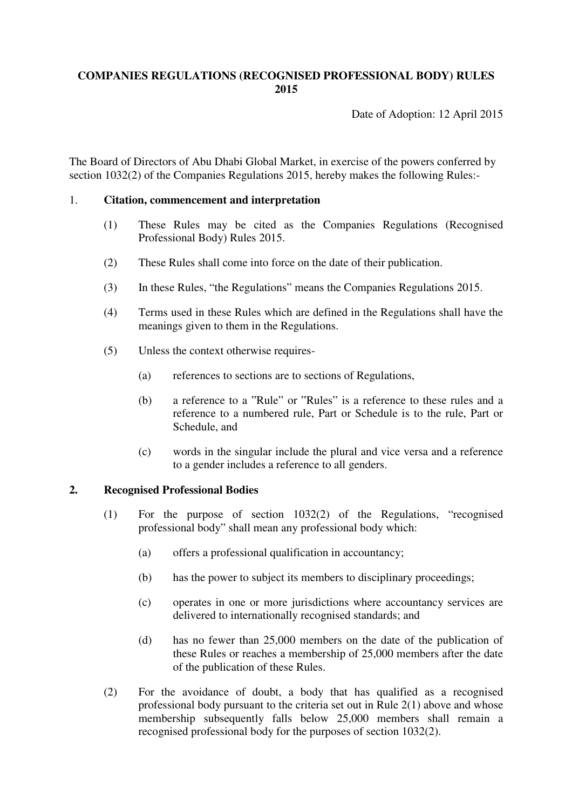## **COMPANIES REGULATIONS (RECOGNISED PROFESSIONAL BODY) RULES 2015**

Date of Adoption: 12 April 2015

The Board of Directors of Abu Dhabi Global Market, in exercise of the powers conferred by section 1032(2) of the Companies Regulations 2015, hereby makes the following Rules:-

## 1. **Citation, commencement and interpretation**

- (1) These Rules may be cited as the Companies Regulations (Recognised Professional Body) Rules 2015.
- (2) These Rules shall come into force on the date of their publication.
- (3) In these Rules, "the Regulations" means the Companies Regulations 2015.
- (4) Terms used in these Rules which are defined in the Regulations shall have the meanings given to them in the Regulations.
- (5) Unless the context otherwise requires-
	- (a) references to sections are to sections of Regulations,
	- (b) a reference to a "Rule" or "Rules" is a reference to these rules and a reference to a numbered rule, Part or Schedule is to the rule, Part or Schedule, and
	- (c) words in the singular include the plural and vice versa and a reference to a gender includes a reference to all genders.

## **2. Recognised Professional Bodies**

- (1) For the purpose of section 1032(2) of the Regulations, "recognised professional body" shall mean any professional body which:
	- (a) offers a professional qualification in accountancy;
	- (b) has the power to subject its members to disciplinary proceedings;
	- (c) operates in one or more jurisdictions where accountancy services are delivered to internationally recognised standards; and
	- (d) has no fewer than 25,000 members on the date of the publication of these Rules or reaches a membership of 25,000 members after the date of the publication of these Rules.
- (2) For the avoidance of doubt, a body that has qualified as a recognised professional body pursuant to the criteria set out in Rule 2(1) above and whose membership subsequently falls below 25,000 members shall remain a recognised professional body for the purposes of section 1032(2).